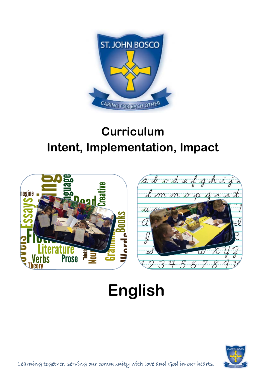

## **Curriculum Intent, Implementation, Impact**



## **English**



Learning together, serving our community with love and God in our hearts.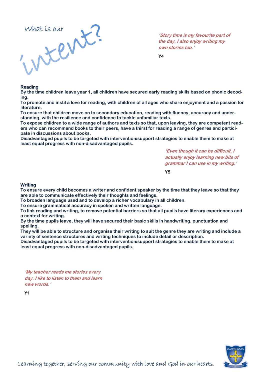

**'Story time is my favourite part of the day. I also enjoy writing my own stories too.'**

**Y4** 

## **Reading**

**By the time children leave year 1, all children have secured early reading skills based on phonic decoding.** 

**To promote and instil a love for reading, with children of all ages who share enjoyment and a passion for literature.** 

**To ensure that children move on to secondary education, reading with fluency, accuracy and understanding, with the resilience and confidence to tackle unfamiliar texts.** 

**To expose children to a wide range of authors and texts so that, upon leaving, they are competent readers who can recommend books to their peers, have a thirst for reading a range of genres and participate in discussions about books.** 

**Disadvantaged pupils to be targeted with intervention/support strategies to enable them to make at least equal progress with non-disadvantaged pupils.** 

> **'Even though it can be difficult, I actually enjoy learning new bits of grammar I can use in my writing.'**

**Y5** 

## **Writing**

**To ensure every child becomes a writer and confident speaker by the time that they leave so that they are able to communicate effectively their thoughts and feelings.** 

**To broaden language used and to develop a richer vocabulary in all children.** 

**To ensure grammatical accuracy in spoken and written language.** 

**To link reading and writing, to remove potential barriers so that all pupils have literary experiences and a context for writing.** 

**By the time pupils leave, they will have secured their basic skills in handwriting, punctuation and spelling.** 

**They will be able to structure and organise their writing to suit the genre they are writing and include a variety of sentence structures and writing techniques to include detail or description.** 

**Disadvantaged pupils to be targeted with intervention/support strategies to enable them to make at least equal progress with non-disadvantaged pupils.** 

**'My teacher reads me stories every day. I like to listen to them and learn new words.'**

**Y1** 

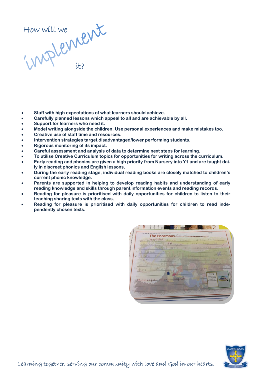How will we it?

- **Staff with high expectations of what learners should achieve.**
- **Carefully planned lessons which appeal to all and are achievable by all.**
- **Support for learners who need it.**
- **Model writing alongside the children. Use personal experiences and make mistakes too.**
- **Creative use of staff time and resources.**
- **Intervention strategies target disadvantaged/lower performing students.**
- **Rigorous monitoring of its impact.**
- **Careful assessment and analysis of data to determine next steps for learning.**
- **To utilise Creative Curriculum topics for opportunities for writing across the curriculum.**
- **Early reading and phonics are given a high priority from Nursery into Y1 and are taught daily in discreet phonics and English lessons.**
- **During the early reading stage, individual reading books are closely matched to children's current phonic knowledge.**
- **Parents are supported in helping to develop reading habits and understanding of early reading knowledge and skills through parent information events and reading records.**
- **Reading for pleasure is prioritised with daily opportunities for children to listen to their teaching sharing texts with the class.**
- **Reading for pleasure is prioritised with daily opportunities for children to read independently chosen texts.**

 $7727$  $\mathcal{A}$  .  $\mathcal{C}$ The Enormous

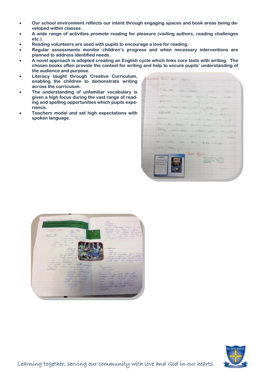- **Our school environment reflects our intent through engaging spaces and book areas being developed within classes.**
- **A wide range of activities promote reading for pleasure (visiting authors, reading challenges etc.).**
- **Reading volunteers are used with pupils to encourage a love for reading.**
- **Regular assessments monitor children's progress and when necessary interventions are planned to address identified needs.**
- **A novel approach is adopted creating an English cycle which links core texts with writing. The chosen books often provide the context for writing and help to secure pupils' understanding of the audience and purpose.**
- **Literacy taught through Creative Curriculum, enabling the children to demonstrate writing across the curriculum.**
- **The understanding of unfamiliar vocabulary is given a high focus during the vast range of reading and spelling opportunities which pupils experience.**
- **Teachers model and set high expectations with spoken language.**

|                                                    | Then me six soris yourco- pink            |
|----------------------------------------------------|-------------------------------------------|
|                                                    | for a imagen plan ruse knew               |
|                                                    | ganastic mr for is an                     |
|                                                    | pion then we don it, the good             |
|                                                    | say to an environmental                   |
|                                                    | parent to the vive Mep the get            |
|                                                    | to the brack when weaker me minimize      |
|                                                    | dooing now page what our my long?         |
|                                                    | going we is going the I getter            |
|                                                    |                                           |
|                                                    | to slip over po thes slips the            |
| <b>WANT OVER</b>                                   |                                           |
| Excellenti                                         | Crood effort.                             |
| <b>Time issue write that</b><br>Mal charter to Mr. | You've exhieved<br>your lustning with the |
| Fox's adventure                                    |                                           |





Learning together, serving our community with love and God in our hearts.